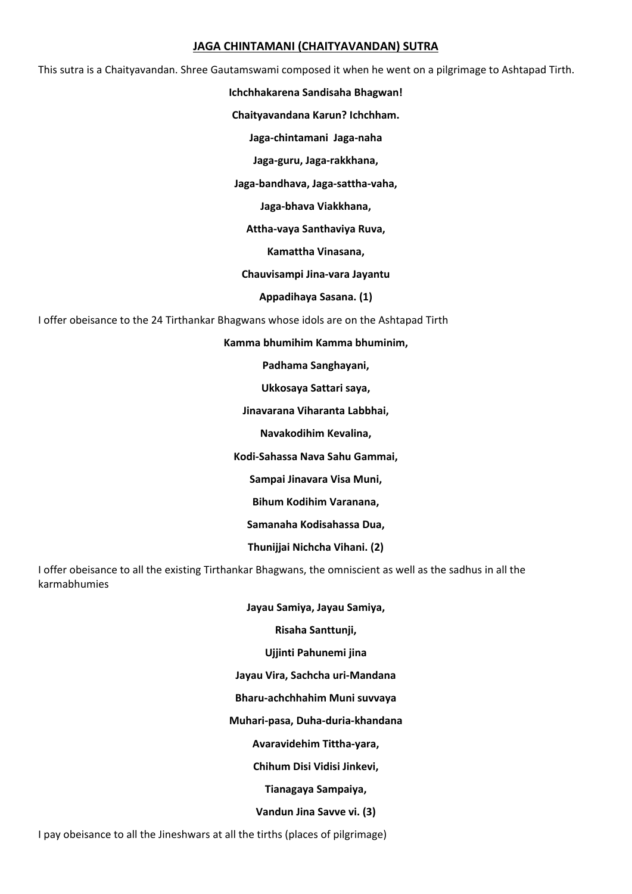### **JAGA CHINTAMANI (CHAITYAVANDAN) SUTRA**

This sutra is a Chaityavandan. Shree Gautamswami composed it when he went on a pilgrimage to Ashtapad Tirth.

#### **Ichchhakarena Sandisaha Bhagwan!**

**Chaityavandana Karun? Ichchham.** 

**Jaga‐chintamani Jaga‐naha** 

**Jaga‐guru, Jaga‐rakkhana,** 

**Jaga‐bandhava, Jaga‐sattha‐vaha,** 

**Jaga‐bhava Viakkhana,** 

**Attha‐vaya Santhaviya Ruva,** 

**Kamattha Vinasana,** 

**Chauvisampi Jina‐vara Jayantu** 

**Appadihaya Sasana. (1)** 

I offer obeisance to the 24 Tirthankar Bhagwans whose idols are on the Ashtapad Tirth

**Kamma bhumihim Kamma bhuminim,** 

**Padhama Sanghayani,** 

**Ukkosaya Sattari saya,** 

**Jinavarana Viharanta Labbhai,** 

**Navakodihim Kevalina,** 

**Kodi‐Sahassa Nava Sahu Gammai,** 

**Sampai Jinavara Visa Muni,** 

**Bihum Kodihim Varanana,** 

**Samanaha Kodisahassa Dua,** 

**Thunijjai Nichcha Vihani. (2)** 

I offer obeisance to all the existing Tirthankar Bhagwans, the omniscient as well as the sadhus in all the karmabhumies

**Jayau Samiya, Jayau Samiya,** 

**Risaha Santtunji,** 

**Ujjinti Pahunemi jina** 

**Jayau Vira, Sachcha uri‐Mandana** 

**Bharu‐achchhahim Muni suvvaya** 

**Muhari‐pasa, Duha‐duria‐khandana** 

**Avaravidehim Tittha‐yara,** 

**Chihum Disi Vidisi Jinkevi,** 

**Tianagaya Sampaiya,** 

**Vandun Jina Savve vi. (3)** 

I pay obeisance to all the Jineshwars at all the tirths (places of pilgrimage)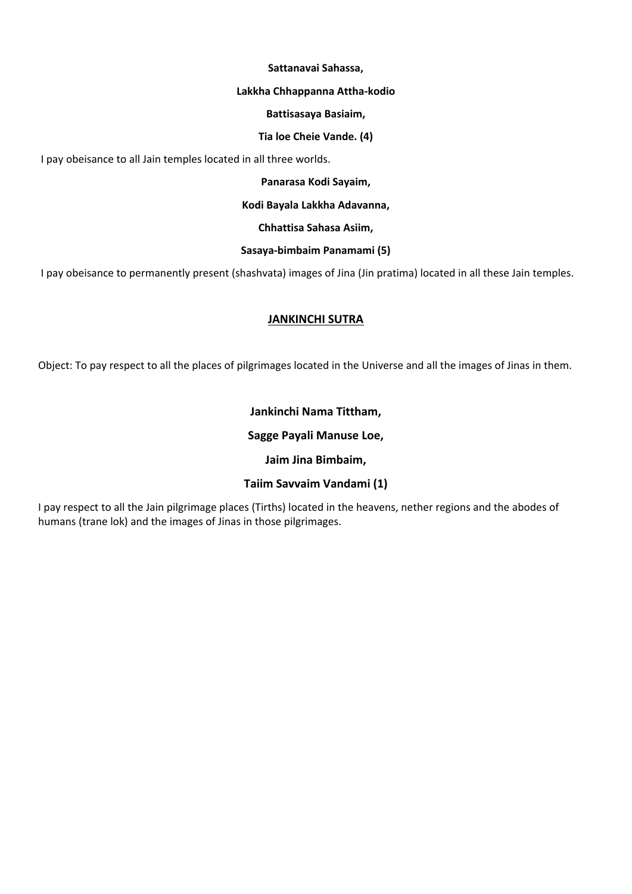### **Sattanavai Sahassa,**

### **Lakkha Chhappanna Attha‐kodio**

### **Battisasaya Basiaim,**

### **Tia loe Cheie Vande. (4)**

I pay obeisance to all Jain temples located in all three worlds.

### **Panarasa Kodi Sayaim,**

### **Kodi Bayala Lakkha Adavanna,**

### **Chhattisa Sahasa Asiim,**

# **Sasaya‐bimbaim Panamami (5)**

I pay obeisance to permanently present (shashvata) images of Jina (Jin pratima) located in all these Jain temples.

# **JANKINCHI SUTRA**

Object: To pay respect to all the places of pilgrimages located in the Universe and all the images of Jinas in them.

# **Jankinchi Nama Tittham,**

# **Sagge Payali Manuse Loe,**

# **Jaim Jina Bimbaim,**

# **Taiim Savvaim Vandami (1)**

I pay respect to all the Jain pilgrimage places (Tirths) located in the heavens, nether regions and the abodes of humans (trane lok) and the images of Jinas in those pilgrimages.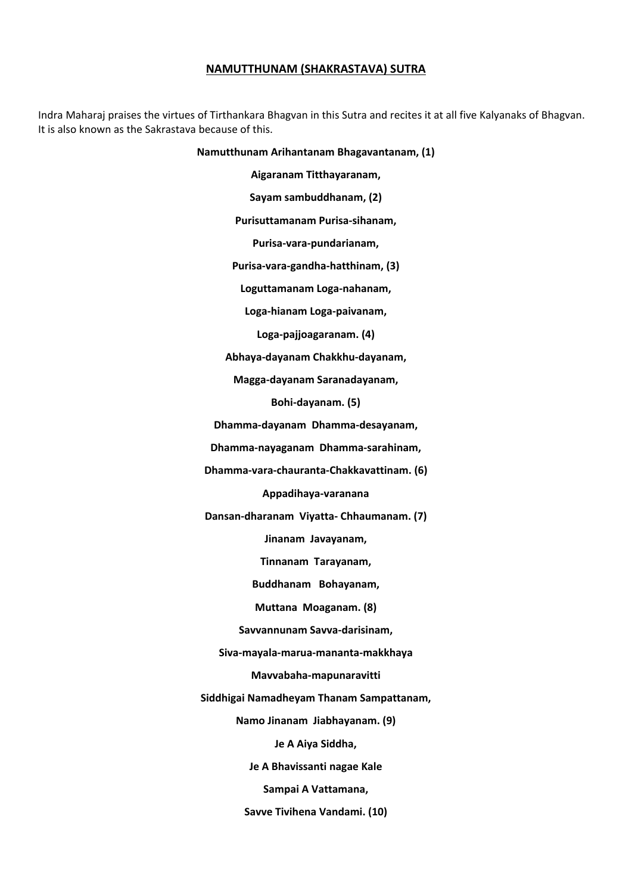### **NAMUTTHUNAM (SHAKRASTAVA) SUTRA**

Indra Maharaj praises the virtues of Tirthankara Bhagvan in this Sutra and recites it at all five Kalyanaks of Bhagvan. It is also known as the Sakrastava because of this.

#### **Namutthunam Arihantanam Bhagavantanam, (1)**

**Aigaranam Titthayaranam,** 

**Sayam sambuddhanam, (2)** 

**Purisuttamanam Purisa‐sihanam,** 

**Purisa‐vara‐pundarianam,** 

**Purisa‐vara‐gandha‐hatthinam, (3)** 

**Loguttamanam Loga‐nahanam,** 

**Loga‐hianam Loga‐paivanam,** 

**Loga‐pajjoagaranam. (4)** 

**Abhaya‐dayanam Chakkhu‐dayanam,** 

**Magga‐dayanam Saranadayanam,** 

**Bohi‐dayanam. (5)** 

**Dhamma‐dayanam Dhamma‐desayanam,** 

**Dhamma‐nayaganam Dhamma‐sarahinam,** 

**Dhamma‐vara‐chauranta‐Chakkavattinam. (6)** 

**Appadihaya‐varanana** 

**Dansan‐dharanam Viyatta‐ Chhaumanam. (7)** 

**Jinanam Javayanam,** 

**Tinnanam Tarayanam,** 

**Buddhanam Bohayanam,** 

**Muttana Moaganam. (8)** 

**Savvannunam Savva‐darisinam,** 

**Siva‐mayala‐marua‐mananta‐makkhaya** 

**Mavvabaha‐mapunaravitti** 

**Siddhigai Namadheyam Thanam Sampattanam,** 

**Namo Jinanam Jiabhayanam. (9)** 

**Je A Aiya Siddha,** 

**Je A Bhavissanti nagae Kale** 

**Sampai A Vattamana,** 

**Savve Tivihena Vandami. (10)**